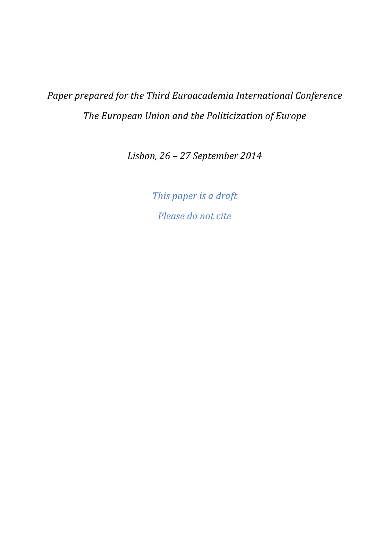*Paper prepared for the Third Euroacademia International Conference The European Union and the Politicization of Europe* 

*Lisbon, 26 – 27 September 2014* 

*This paper is a draft Please do not cite*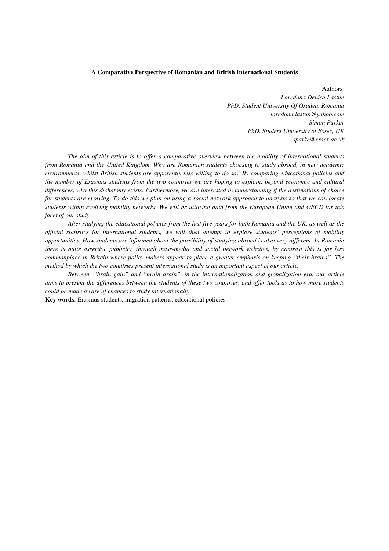#### **A Comparative Perspective of Romanian and British International Students**

Authors: *Loredana Denisa Lastun PhD. Student University Of Oradea, Romania loredana.lastun@yahoo.com Simon Parker PhD. Student University of Essex, UK sparke@essex.ac.uk* 

*The aim of this article is to offer a comparative overview between the mobility of international students from Romania and the United Kingdom. Why are Romanian students choosing to study abroad, in new academic environments, whilst British students are apparently less willing to do so? By comparing educational policies and the number of Erasmus students from the two countries we are hoping to explain, beyond economic and cultural differences, why this dichotomy exists. Furthermore, we are interested in understanding if the destinations of choice for students are evolving. To do this we plan on using a social network approach to analysis so that we can locate students within evolving mobility networks. We will be utilizing data from the European Union and OECD for this facet of our study.* 

*After studying the educational policies from the last five years for both Romania and the UK, as well as the official statistics for international students, we will then attempt to explore students' perceptions of mobility opportunities. How students are informed about the possibility of studying abroad is also very different. In Romania there is quite assertive publicity, through mass-media and social network websites, by contrast this is far less commonplace in Britain where policy-makers appear to place a greater emphasis on keeping "their brains". The method by which the two countries present international study is an important aspect of our article.* 

*Between, "brain gain" and "brain drain", in the internationalization and globalization era, our article aims to present the differences between the students of these two countries, and offer tools as to how more students could be made aware of chances to study internationally*.

**Key words**: Erasmus students, migration patterns, educational policies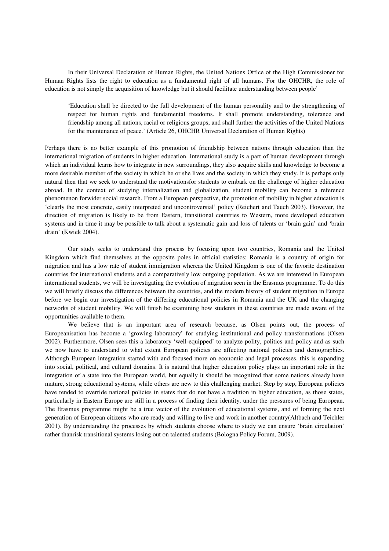In their Universal Declaration of Human Rights, the United Nations Office of the High Commissioner for Human Rights lists the right to education as a fundamental right of all humans. For the OHCHR, the role of education is not simply the acquisition of knowledge but it should facilitate understanding between people'

'Education shall be directed to the full development of the human personality and to the strengthening of respect for human rights and fundamental freedoms. It shall promote understanding, tolerance and friendship among all nations, racial or religious groups, and shall further the activities of the United Nations for the maintenance of peace.' (Article 26, OHCHR Universal Declaration of Human Rights)

Perhaps there is no better example of this promotion of friendship between nations through education than the international migration of students in higher education. International study is a part of human development through which an individual learns how to integrate in new surroundings, they also acquire skills and knowledge to become a more desirable member of the society in which he or she lives and the society in which they study. It is perhaps only natural then that we seek to understand the motivationsfor students to embark on the challenge of higher education abroad. In the context of studying internalization and globalization, student mobility can become a reference phenomenon forwider social research. From a European perspective, the promotion of mobility in higher education is 'clearly the most concrete, easily interpreted and uncontroversial' policy (Reichert and Tauch 2003). However, the direction of migration is likely to be from Eastern, transitional countries to Western, more developed education systems and in time it may be possible to talk about a systematic gain and loss of talents or 'brain gain' and 'brain drain' (Kwiek 2004).

Our study seeks to understand this process by focusing upon two countries, Romania and the United Kingdom which find themselves at the opposite poles in official statistics: Romania is a country of origin for migration and has a low rate of student immigration whereas the United Kingdom is one of the favorite destination countries for international students and a comparatively low outgoing population. As we are interested in European international students, we will be investigating the evolution of migration seen in the Erasmus programme. To do this we will briefly discuss the differences between the countries, and the modern history of student migration in Europe before we begin our investigation of the differing educational policies in Romania and the UK and the changing networks of student mobility. We will finish be examining how students in these countries are made aware of the opportunities available to them.

We believe that is an important area of research because, as Olsen points out, the process of Europeanisation has become a 'growing laboratory' for studying institutional and policy transformations (Olsen 2002). Furthermore, Olsen sees this a laboratory 'well-equipped' to analyze polity, politics and policy and as such we now have to understand to what extent European policies are affecting national policies and demographics. Although European integration started with and focused more on economic and legal processes, this is expanding into social, political, and cultural domains. It is natural that higher education policy plays an important role in the integration of a state into the European world, but equally it should be recognized that some nations already have mature, strong educational systems, while others are new to this challenging market. Step by step, European policies have tended to override national policies in states that do not have a tradition in higher education, as those states, particularly in Eastern Europe are still in a process of finding their identity, under the pressures of being European. The Erasmus programme might be a true vector of the evolution of educational systems, and of forming the next generation of European citizens who are ready and willing to live and work in another country(Altbach and Teichler 2001). By understanding the processes by which students choose where to study we can ensure 'brain circulation' rather thanrisk transitional systems losing out on talented students (Bologna Policy Forum, 2009).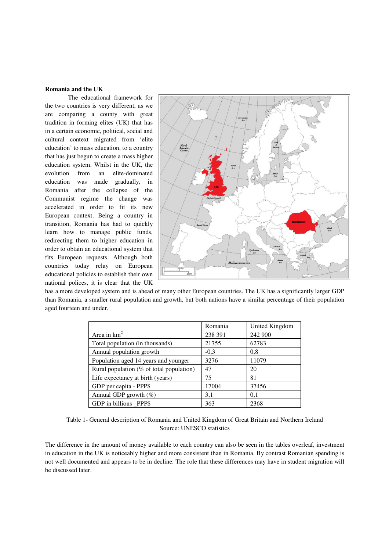# **Romania and the UK**

The educational framework for the two countries is very different, as we are comparing a county with great tradition in forming elites (UK) that has in a certain economic, political, social and in a certain economic, political, social and<br>cultural context migrated from 'elite education' to mass education, to a country that has just begun to create a mass higher education system. Whilst in the UK, the evolution from an elite-dominated education was made gradually, in Romania after the collapse of the Communist regime the change was accelerated in order to fit its new European context. Being a country transition, Romania has had to quickly learn how to manage public funds, redirecting them to higher education in order to obtain an educational system that order to obtain an educational system that<br>fits European requests. Although both countries today relay on European educational policies to establish their own national polices, it is clear that the UK egun to create a mass higher<br>tem. Whilst in the UK, the<br>com an elite-dominated<br>as made gradually, in<br>er the collapse of the<br>regime the change was<br>n order to fit its new<br>ttext. Being a country in



has a more developed system and is ahead of many other European countries. The UK has a significantly larger GDP than Romania, a smaller rural population and growth, but both nations have a similar percentage of their population aged fourteen and under.<br>
<br>
Romania United Kingdom aged fourteen and under.

| Area in $km^2$                           | 238 391 |         |
|------------------------------------------|---------|---------|
|                                          |         | 242 900 |
| Total population (in thousands)          | 21755   | 62783   |
| Annual population growth                 | $-0.3$  | 0.8     |
| Population aged 14 years and younger     | 3276    | 11079   |
| Rural population (% of total population) | 47      | 20      |
| Life expectancy at birth (years)         | 75      | 81      |
| GDP per capita - PPP\$                   | 17004   | 37456   |
| Annual GDP growth $(\%)$                 | 3,1     | 0,1     |
| GDP in billions PPP\$                    | 363     | 2368    |

Table 1- General description of Romania and United Kingdom of Great Britain and Northern Ireland Source: UNESCO statistics

The difference in the amount of money available to each country can also be seen in the tables in education in the UK is noticeably higher and more consistent than in Romania. By contrast Romanian spending is in education in the UK is noticeably higher and more consistent than in Romania. By contrast Romanian spending is<br>not well documented and appears to be in decline. The role that these differences may have in student migrat be discussed later.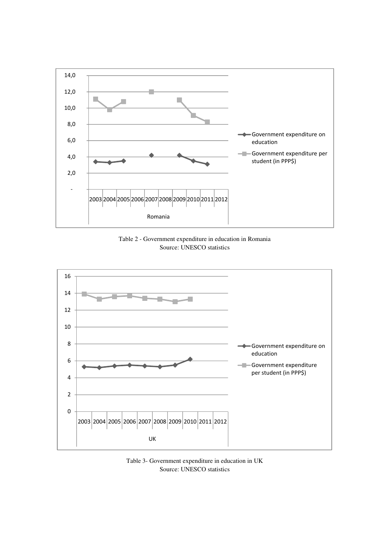

Table 2 - Government expenditure in education in Romania Source: UNESCO statistics



Table 3- Government expenditure in education in UK Source: UNESCO statistics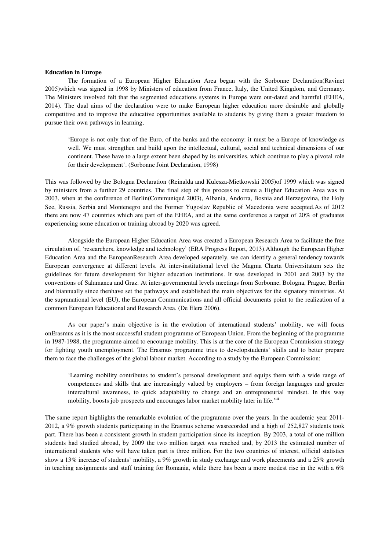#### **Education in Europe**

The formation of a European Higher Education Area began with the Sorbonne Declaration(Ravinet 2005)which was signed in 1998 by Ministers of education from France, Italy, the United Kingdom, and Germany. The Ministers involved felt that the segmented educations systems in Europe were out-dated and harmful (EHEA, 2014). The dual aims of the declaration were to make European higher education more desirable and globally competitive and to improve the educative opportunities available to students by giving them a greater freedom to pursue their own pathways in learning,

'Europe is not only that of the Euro, of the banks and the economy: it must be a Europe of knowledge as well. We must strengthen and build upon the intellectual, cultural, social and technical dimensions of our continent. These have to a large extent been shaped by its universities, which continue to play a pivotal role for their development'. (Sorbonne Joint Declaration, 1998)

This was followed by the Bologna Declaration (Reinalda and Kulesza-Mietkowski 2005)of 1999 which was signed by ministers from a further 29 countries. The final step of this process to create a Higher Education Area was in 2003, when at the conference of Berlin(Communiqué 2003), Albania, Andorra, Bosnia and Herzegovina, the Holy See, Russia, Serbia and Montenegro and the Former Yugoslav Republic of Macedonia were accepted.As of 2012 there are now 47 countries which are part of the EHEA, and at the same conference a target of 20% of graduates experiencing some education or training abroad by 2020 was agreed.

Alongside the European Higher Education Area was created a European Research Area to facilitate the free circulation of, 'researchers, knowledge and technology' (ERA Progress Report, 2013).Although the European Higher Education Area and the EuropeanResearch Area developed separately, we can identify a general tendency towards European convergence at different levels. At inter-institutional level the Magma Charta Universitatum sets the guidelines for future development for higher education institutions. It was developed in 2001 and 2003 by the conventions of Salamanca and Graz. At inter-governmental levels meetings from Sorbonne, Bologna, Prague, Berlin and biannually since thenhave set the pathways and established the main objectives for the signatory ministries. At the supranational level (EU), the European Communications and all official documents point to the realization of a common European Educational and Research Area. (De Elera 2006).

As our paper's main objective is in the evolution of international students' mobility, we will focus onErasmus as it is the most successful student programme of European Union. From the beginning of the programme in 1987-1988, the programme aimed to encourage mobility. This is at the core of the European Commission strategy for fighting youth unemployment. The Erasmus programme tries to developstudents' skills and to better prepare them to face the challenges of the global labour market. According to a study by the European Commission:

'Learning mobility contributes to student's personal development and equips them with a wide range of competences and skills that are increasingly valued by employers – from foreign languages and greater intercultural awareness, to quick adaptability to change and an entrepreneurial mindset. In this way mobility, boosts job prospects and encourages labor market mobility later in life.<sup>'iii</sup>

The same report highlights the remarkable evolution of the programme over the years. In the academic year 2011- 2012, a 9% growth students participating in the Erasmus scheme wasrecorded and a high of 252,827 students took part. There has been a consistent growth in student participation since its inception. By 2003, a total of one million students had studied abroad, by 2009 the two million target was reached and, by 2013 the estimated number of international students who will have taken part is three million. For the two countries of interest, official statistics show a 13% increase of students' mobility, a 9% growth in study exchange and work placements and a 25% growth in teaching assignments and staff training for Romania, while there has been a more modest rise in the with a 6%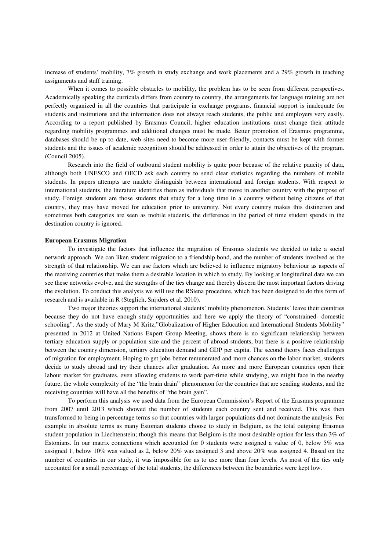increase of students' mobility, 7% growth in study exchange and work placements and a 29% growth in teaching assignments and staff training.

When it comes to possible obstacles to mobility, the problem has to be seen from different perspectives. Academically speaking the curricula differs from country to country, the arrangements for language training are not perfectly organized in all the countries that participate in exchange programs, financial support is inadequate for students and institutions and the information does not always reach students, the public and employers very easily. According to a report published by Erasmus Council, higher education institutions must change their attitude regarding mobility programmes and additional changes must be made. Better promotion of Erasmus programme, databases should be up to date, web sites need to become more user-friendly, contacts must be kept with former students and the issues of academic recognition should be addressed in order to attain the objectives of the program. (Council 2005).

Research into the field of outbound student mobility is quite poor because of the relative paucity of data, although both UNESCO and OECD ask each country to send clear statistics regarding the numbers of mobile students. In papers attempts are madeto distinguish between international and foreign students. With respect to international students, the literature identifies them as individuals that move in another country with the purpose of study. Foreign students are those students that study for a long time in a country without being citizens of that country, they may have moved for education prior to university. Not every country makes this distinction and sometimes both categories are seen as mobile students, the difference in the period of time student spends in the destination country is ignored.

# **European Erasmus Migration**

To investigate the factors that influence the migration of Erasmus students we decided to take a social network approach. We can liken student migration to a friendship bond, and the number of students involved as the strength of that relationship. We can use factors which are believed to influence migratory behaviour as aspects of the receiving countries that make them a desirable location in which to study. By looking at longitudinal data we can see these networks evolve, and the strengths of the ties change and thereby discern the most important factors driving the evolution. To conduct this analysis we will use the RSiena procedure, which has been designed to do this form of research and is available in R (Steglich, Snijders et al. 2010).

Two major theories support the international students' mobility phenomenon. Students' leave their countries because they do not have enough study opportunities and here we apply the theory of "constrained- domestic schooling". As the study of Mary M Kritz,"Globalization of Higher Education and International Students Mobility" presented in 2012 at United Nations Expert Group Meeting, shows there is no significant relationship between tertiary education supply or population size and the percent of abroad students, but there is a positive relationship between the country dimension, tertiary education demand and GDP per capita. The second theory faces challenges of migration for employment. Hoping to get jobs better remunerated and more chances on the labor market, students decide to study abroad and try their chances after graduation. As more and more European countries open their labour market for graduates, even allowing students to work part-time while studying, we might face in the nearby future, the whole complexity of the "the brain drain" phenomenon for the countries that are sending students, and the receiving countries will have all the benefits of "the brain gain".

To perform this analysis we used data from the European Commission's Report of the Erasmus programme from 2007 until 2013 which showed the number of students each country sent and received. This was then transformed to being in percentage terms so that countries with larger populations did not dominate the analysis. For example in absolute terms as many Estonian students choose to study in Belgium, as the total outgoing Erasmus student population in Liechtenstein; though this means that Belgium is the most desirable option for less than 3% of Estonians. In our matrix connections which accounted for 0 students were assigned a value of 0, below 5% was assigned 1, below 10% was valued as 2, below 20% was assigned 3 and above 20% was assigned 4. Based on the number of countries in our study, it was impossible for us to use more than four levels. As most of the ties only accounted for a small percentage of the total students, the differences between the boundaries were kept low.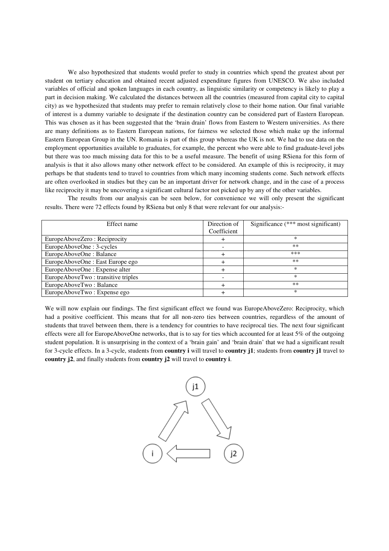We also hypothesized that students would prefer to study in countries which spend the greatest about per student on tertiary education and obtained recent adjusted expenditure figures from UNESCO. We also included variables of official and spoken languages in each country, as linguistic similarity or competency is likely to play a part in decision making. We calculated the distances between all the countries (measured from capital city to capital city) as we hypothesized that students may prefer to remain relatively close to their home nation. Our final variable of interest is a dummy variable to designate if the destination country can be considered part of Eastern European. This was chosen as it has been suggested that the 'brain drain' flows from Eastern to Western universities. As there are many definitions as to Eastern European nations, for fairness we selected those which make up the informal Eastern European Group in the UN. Romania is part of this group whereas the UK is not. We had to use data on the employment opportunities available to graduates, for example, the percent who were able to find graduate-level jobs but there was too much missing data for this to be a useful measure. The benefit of using RSiena for this form of analysis is that it also allows many other network effect to be considered. An example of this is reciprocity, it may perhaps be that students tend to travel to countries from which many incoming students come. Such network effects are often overlooked in studies but they can be an important driver for network change, and in the case of a process like reciprocity it may be uncovering a significant cultural factor not picked up by any of the other variables.

The results from our analysis can be seen below, for convenience we will only present the significant results. There were 72 effects found by RSiena but only 8 that were relevant for our analysis:-

| Effect name                        | Direction of | Significance $(*** \text{ most significant})$ |
|------------------------------------|--------------|-----------------------------------------------|
|                                    | Coefficient  |                                               |
| EuropeAboveZero: Reciprocity       |              | $\ast$                                        |
| EuropeAboveOne: 3-cycles           |              | **                                            |
| EuropeAboveOne: Balance            |              | ***                                           |
| EuropeAboveOne : East Europe ego   |              | $**$                                          |
| EuropeAboveOne : Expense alter     |              | ∗                                             |
| EuropeAboveTwo: transitive triples |              | ∗                                             |
| EuropeAboveTwo: Balance            | $\, + \,$    | $**$                                          |
| EuropeAboveTwo: Expense ego        |              | $\ast$                                        |

We will now explain our findings. The first significant effect we found was EuropeAboveZero: Reciprocity, which had a positive coefficient. This means that for all non-zero ties between countries, regardless of the amount of students that travel between them, there is a tendency for countries to have reciprocal ties. The next four significant effects were all for EuropeAboveOne networks, that is to say for ties which accounted for at least 5% of the outgoing student population. It is unsurprising in the context of a 'brain gain' and 'brain drain' that we had a significant result for 3-cycle effects. In a 3-cycle, students from **country i** will travel to **country j1**; students from **country j1** travel to **country j2**, and finally students from **country j2** will travel to **country i**.

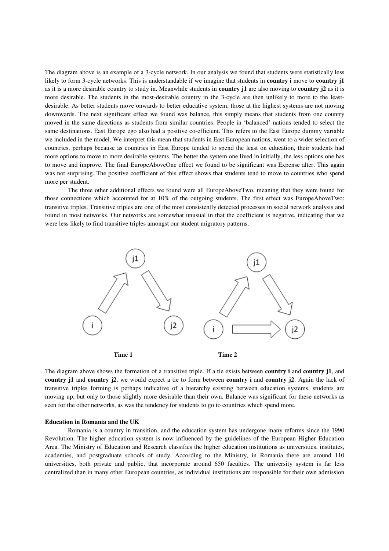The diagram above is an example of a 3-cycle network. In our analysis we found that students were statistically less likely to form 3-cycle networks. This is understandable if we imagine that students in **country i** move to **country j1** as it is a more desirable country to study in. Meanwhile students in **country j1** are also moving to **country j2** as it is more desirable. The students in the most-desirable country in the 3-cycle are then unlikely to more to the leastdesirable. As better students move onwards to better educative system, those at the highest systems are not moving downwards. The next significant effect we found was balance, this simply means that students from one country moved in the same directions as students from similar countries. People in 'balanced' nations tended to select the same destinations. East Europe ego also had a positive co-efficient. This refers to the East Europe dummy variable we included in the model. We interpret this mean that students in East European nations, went to a wider selection of countries, perhaps because as countries in East Europe tended to spend the least on education, their students had more options to move to more desirable systems. The better the system one lived in initially, the less options one has to move and improve. The final EuropeAboveOne effect we found to be significant was Expense alter. This again was not surprising. The positive coefficient of this effect shows that students tend to move to countries who spend more per student.

 The three other additional effects we found were all EuropeAboveTwo, meaning that they were found for those connections which accounted for at 10% of the outgoing students. The first effect was EuropeAboveTwo: transitive triples. Transitive triples are one of the most consistently detected processes in social network analysis and found in most networks. Our networks are somewhat unusual in that the coefficient is negative, indicating that we were less likely to find transitive triples amongst our student migratory patterns.



The diagram above shows the formation of a transitive triple. If a tie exists between **country i** and **country j1**, and **country j1** and **country j2**, we would expect a tie to form between **country i** and **country j2**. Again the lack of transitive triples forming is perhaps indicative of a hierarchy existing between education systems, students are moving up, but only to those slightly more desirable than their own. Balance was significant for these networks as seen for the other networks, as was the tendency for students to go to countries which spend more.

#### **Education in Romania and the UK**

Romania is a country in transition, and the education system has undergone many reforms since the 1990 Revolution. The higher education system is now influenced by the guidelines of the European Higher Education Area. The Ministry of Education and Research classifies the higher education institutions as universities, institutes, academies, and postgraduate schools of study. According to the Ministry, in Romania there are around 110 universities, both private and public, that incorporate around 650 faculties. The university system is far less centralized than in many other European countries, as individual institutions are responsible for their own admission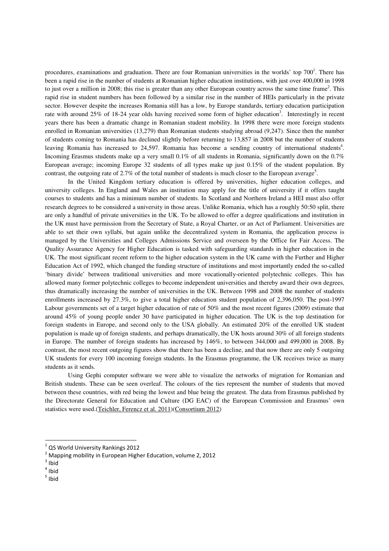procedures, examinations and graduation. There are four Romanian universities in the worlds' top 700<sup>1</sup>. There has been a rapid rise in the number of students at Romanian higher education institutions, with just over 400,000 in 1998 to just over a million in 2008; this rise is greater than any other European country across the same time frame<sup>2</sup>. This rapid rise in student numbers has been followed by a similar rise in the number of HEIs particularly in the private sector. However despite the increases Romania still has a low, by Europe standards, tertiary education participation rate with around 25% of 18-24 year olds having received some form of higher education<sup>3</sup>. Interestingly in recent years there has been a dramatic change in Romanian student mobility. In 1998 there were more foreign students enrolled in Romanian universities (13,279) than Romanian students studying abroad (9,247). Since then the number of students coming to Romania has declined slightly before returning to 13,857 in 2008 but the number of students leaving Romania has increased to 24,597. Romania has become a sending country of international students<sup>4</sup>. Incoming Erasmus students make up a very small  $0.1\%$  of all students in Romania, significantly down on the  $0.7\%$ European average; incoming Europe 32 students of all types make up just 0.15% of the student population. By contrast, the outgoing rate of 2.7% of the total number of students is much closer to the European average<sup>5</sup>.

In the United Kingdom tertiary education is offered by universities, higher education colleges, and university colleges. In England and Wales an institution may apply for the title of university if it offers taught courses to students and has a minimum number of students. In Scotland and Northern Ireland a HEI must also offer research degrees to be considered a university in those areas. Unlike Romania, which has a roughly 50:50 split, there are only a handful of private universities in the UK. To be allowed to offer a degree qualifications and institution in the UK must have permission from the Secretary of State, a Royal Charter, or an Act of Parliament. Universities are able to set their own syllabi, but again unlike the decentralized system in Romania, the application process is managed by the Universities and Colleges Admissions Service and overseen by the Office for Fair Access. The Quality Assurance Agency for Higher Education is tasked with safeguarding standards in higher education in the UK. The most significant recent reform to the higher education system in the UK came with the Further and Higher Education Act of 1992, which changed the funding structure of institutions and most importantly ended the so-called 'binary divide' between traditional universities and more vocationally-oriented polytechnic colleges. This has allowed many former polytechnic colleges to become independent universities and thereby award their own degrees, thus dramatically increasing the number of universities in the UK. Between 1998 and 2008 the number of students enrollments increased by 27.3%, to give a total higher education student population of 2,396,050. The post-1997 Labour governments set of a target higher education of rate of 50% and the most recent figures (2009) estimate that around 45% of young people under 30 have participated in higher education. The UK is the top destination for foreign students in Europe, and second only to the USA globally. An estimated 20% of the enrolled UK student population is made up of foreign students, and perhaps dramatically, the UK hosts around 30% of all foreign students in Europe. The number of foreign students has increased by 146%, to between 344,000 and 499,000 in 2008. By contrast, the most recent outgoing figures show that there has been a decline, and that now there are only 5 outgoing UK students for every 100 incoming foreign students. In the Erasmus programme, the UK receives twice as many students as it sends.

Using Gephi computer software we were able to visualize the networks of migration for Romanian and British students. These can be seen overleaf. The colours of the ties represent the number of students that moved between these countries, with red being the lowest and blue being the greatest. The data from Erasmus published by the Directorate General for Education and Culture (DG EAC) of the European Commission and Erasmus' own statistics were used.(Teichler, Ferencz et al. 2011)(Consortium 2012)

<u>.</u>

5 Ibid

<sup>1</sup> QS World University Rankings 2012

 $2$  Mapping mobility in European Higher Education, volume 2, 2012

 $3$  Ibid

 $4$  Ibid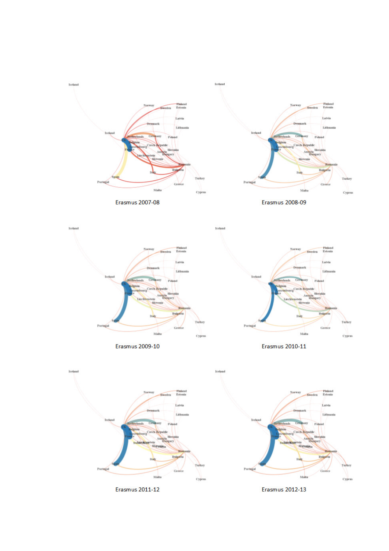

Iceland







Erasmus 2009-10



Erasmus 2010-11



**Erasmus 2011-12** 

Erasmus 2012-13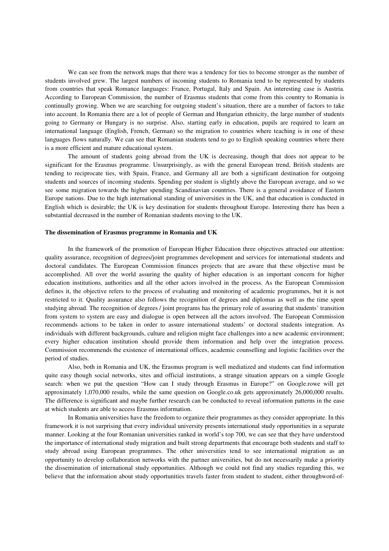We can see from the network maps that there was a tendency for ties to become stronger as the number of students involved grew. The largest numbers of incoming students to Romania tend to be represented by students from countries that speak Romance languages: France, Portugal, Italy and Spain. An interesting case is Austria. According to European Commission, the number of Erasmus students that come from this country to Romania is continually growing. When we are searching for outgoing student's situation, there are a number of factors to take into account. In Romania there are a lot of people of German and Hungarian ethnicity, the large number of students going to Germany or Hungary is no surprise. Also, starting early in education, pupils are required to learn an international language (English, French, German) so the migration to countries where teaching is in one of these languages flows naturally. We can see that Romanian students tend to go to English speaking countries where there is a more efficient and mature educational system.

The amount of students going abroad from the UK is decreasing, though that does not appear to be significant for the Erasmus programme. Unsurprisingly, as with the general European trend, British students are tending to reciprocate ties, with Spain, France, and Germany all are both a significant destination for outgoing students and sources of incoming students. Spending per student is slightly above the European average, and so we see some migration towards the higher spending Scandinavian countries. There is a general avoidance of Eastern Europe nations. Due to the high international standing of universities in the UK, and that education is conducted in English which is desirable; the UK is key destination for students throughout Europe. Interesting there has been a substantial decreased in the number of Romanian students moving to the UK.

# **The dissemination of Erasmus programme in Romania and UK**

In the framework of the promotion of European Higher Education three objectives attracted our attention: quality assurance, recognition of degrees/joint programmes development and services for international students and doctoral candidates. The European Commission finances projects that are aware that these objective must be accomplished. All over the world assuring the quality of higher education is an important concern for higher education institutions, authorities and all the other actors involved in the process. As the European Commission defines it, the objective refers to the process of evaluating and monitoring of academic programmes, but it is not restricted to it. Quality assurance also follows the recognition of degrees and diplomas as well as the time spent studying abroad. The recognition of degrees / joint programs has the primary role of assuring that students' transition from system to system are easy and dialogue is open between all the actors involved. The European Commission recommends actions to be taken in order to assure international students' or doctoral students integration. As individuals with different backgrounds, culture and religion might face challenges into a new academic environment; every higher education institution should provide them information and help over the integration process. Commission recommends the existence of international offices, academic counselling and logistic facilities over the period of studies.

Also, both in Romania and UK, the Erasmus program is well mediatized and students can find information quite easy though social networks, sites and official institutions, a strange situation appears on a simple Google search: when we put the question "How can I study through Erasmus in Europe?" on Google.rowe will get approximately 1,070,000 results, while the same question on Google.co.uk gets approximately 26,000,000 results. The difference is significant and maybe further research can be conducted to reveal information patterns in the ease at which students are able to access Erasmus information.

In Romania universities have the freedom to organize their programmes as they consider appropriate. In this framework it is not surprising that every individual university presents international study opportunities in a separate manner. Looking at the four Romanian universities ranked in world's top 700, we can see that they have understood the importance of international study migration and built strong departments that encourage both students and staff to study abroad using European programmes. The other universities tend to see international migration as an opportunity to develop collaboration networks with the partner universities, but do not necessarily make a priority the dissemination of international study opportunities. Although we could not find any studies regarding this, we believe that the information about study opportunities travels faster from student to student, either throughword-of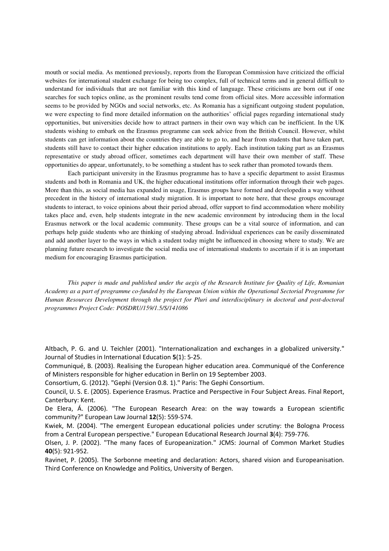mouth or social media. As mentioned previously, reports from the European Commission have criticized the official websites for international student exchange for being too complex, full of technical terms and in general difficult to understand for individuals that are not familiar with this kind of language. These criticisms are born out if one searches for such topics online, as the prominent results tend come from official sites. More accessible information seems to be provided by NGOs and social networks, etc. As Romania has a significant outgoing student population, we were expecting to find more detailed information on the authorities' official pages regarding international study opportunities, but universities decide how to attract partners in their own way which can be inefficient. In the UK students wishing to embark on the Erasmus programme can seek advice from the British Council. However, whilst students can get information about the countries they are able to go to, and hear from students that have taken part, students still have to contact their higher education institutions to apply. Each institution taking part as an Erasmus representative or study abroad officer, sometimes each department will have their own member of staff. These opportunities do appear, unfortunately, to be something a student has to seek rather than promoted towards them.

Each participant university in the Erasmus programme has to have a specific department to assist Erasmus students and both in Romania and UK, the higher educational institutions offer information through their web pages. More than this, as social media has expanded in usage, Erasmus groups have formed and developedin a way without precedent in the history of international study migration. It is important to note here, that these groups encourage students to interact, to voice opinions about their period abroad, offer support to find accommodation where mobility takes place and, even, help students integrate in the new academic environment by introducing them in the local Erasmus network or the local academic community. These groups can be a vital source of information, and can perhaps help guide students who are thinking of studying abroad. Individual experiences can be easily disseminated and add another layer to the ways in which a student today might be influenced in choosing where to study. We are planning future research to investigate the social media use of international students to ascertain if it is an important medium for encouraging Erasmus participation.

*This paper is made and published under the aegis of the Research Institute for Quality of Life, Romanian Academy as a part of programme co-funded by the European Union within the Operational Sectorial Programme for Human Resources Development through the project for Pluri and interdisciplinary in doctoral and post-doctoral programmes Project Code: POSDRU/159/1.5/S/141086* 

Altbach, P. G. and U. Teichler (2001). "Internationalization and exchanges in a globalized university." Journal of Studies in International Education **5**(1): 5-25.

Communiqué, B. (2003). Realising the European higher education area. Communiqué of the Conference of Ministers responsible for higher education in Berlin on 19 September 2003.

Consortium, G. (2012). "Gephi (Version 0.8. 1)." Paris: The Gephi Consortium.

Council, U. S. E. (2005). Experience Erasmus. Practice and Perspective in Four Subject Areas. Final Report, Canterbury: Kent.

De Elera, Á. (2006). "The European Research Area: on the way towards a European scientific community?" European Law Journal **12**(5): 559-574.

Kwiek, M. (2004). "The emergent European educational policies under scrutiny: the Bologna Process from a Central European perspective." European Educational Research Journal **3**(4): 759-776.

Olsen, J. P. (2002). "The many faces of Europeanization." JCMS: Journal of Common Market Studies **40**(5): 921-952.

Ravinet, P. (2005). The Sorbonne meeting and declaration: Actors, shared vision and Europeanisation. Third Conference on Knowledge and Politics, University of Bergen.